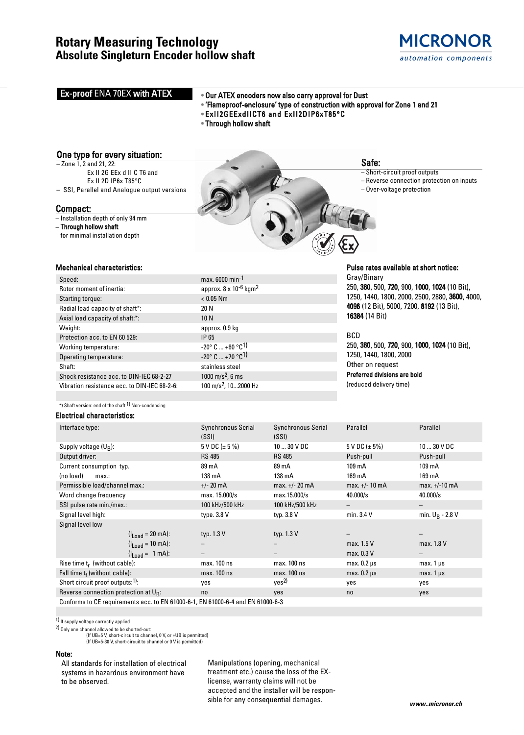# **Rotary Measuring Technology Absolute Singleturn Encoder hollow shaft**



# **Ex-proof ENA 70EX with ATEX**

# • Our ATEX encoders now also carry approval for Dust

- 'Flameproof-enclosure' type of construction with approval for Zone 1 and 21
- ExII2GEExdIICT6 and ExII2DIP6xT85°C
- Through hollow shaft

approx.  $8 \times 10^{-6}$  kgm<sup>2</sup>

 $-20^{\circ}$  C  $...$  +60  $^{\circ}$ C<sup>1)</sup>  $-20^{\circ}$  C  $...$  +70 °C<sup>1)</sup> stainless steel

# One type for every situation:

- Zone 1, 2 and 21, 22: Ex II 2G EEx d II C T6 and
- Ex II 2D IP6x T85°C – SSI, Parallel and Analogue output versions

# Compact:

– Installation depth of only 94 mm

#### – Through hollow shaft for minimal installation depth



# Safe:

– Short-circuit proof outputs

- Reverse connection protection on inputs
- Over-voltage protection

### Mechanical characteristics:

| Speed:                                       | max. 6000 min <sup>-1</sup>     |
|----------------------------------------------|---------------------------------|
| Rotor moment of inertia:                     | approx. 8 x 10-6                |
| Starting torque:                             | $< 0.05$ Nm                     |
| Radial load capacity of shaft*:              | 20 N                            |
| Axial load capacity of shaft:*:              | 10 N                            |
| Weight:                                      | approx. 0.9 kg                  |
| Protection acc. to EN 60 529:                | IP 65                           |
| Working temperature:                         | $-20^{\circ}$ C $+60^{\circ}$ C |
| Operating temperature:                       | $-20^{\circ}$ C $+70^{\circ}$ C |
| Shaft:                                       | stainless steel                 |
| Shock resistance acc. to DIN-IEC 68-2-27     | 1000 m/s <sup>2</sup> , 6 ms    |
| Vibration resistance acc. to DIN-IEC 68-2-6: | $100 \text{ m/s}^2$ , $1020$    |
|                                              |                                 |

### Elec

| Shock resistance acc. to DIN-IEC 68-2-27                        |                                | 1000 m/s <sup>2</sup> , 6 ms     |                           | Preferred divisions are bold |                    |  |  |  |
|-----------------------------------------------------------------|--------------------------------|----------------------------------|---------------------------|------------------------------|--------------------|--|--|--|
| Vibration resistance acc. to DIN-IEC 68-2-6:                    |                                | 100 m/s <sup>2</sup> , 102000 Hz |                           | (reduced delivery time)      |                    |  |  |  |
|                                                                 |                                |                                  |                           |                              |                    |  |  |  |
| *) Shaft version: end of the shaft <sup>1)</sup> Non-condensing |                                |                                  |                           |                              |                    |  |  |  |
| lectrical characteristics:                                      |                                |                                  |                           |                              |                    |  |  |  |
| Interface type:                                                 |                                | Synchronous Serial               | <b>Synchronous Serial</b> | Parallel                     | Parallel           |  |  |  |
|                                                                 |                                | (SSI)                            | (SSI)                     |                              |                    |  |  |  |
| Supply voltage (U <sub>R</sub> ):                               |                                | $5$ V DC ( $\pm$ 5 %)            | $1030$ V DC               | $5$ V DC ( $\pm$ 5%)         | $1030$ V DC        |  |  |  |
| Output driver:                                                  |                                | <b>RS 485</b>                    | <b>RS 485</b>             | Push-pull                    | Push-pull          |  |  |  |
| Current consumption typ.                                        |                                | 89 mA                            | 89 mA                     | 109 mA                       | 109 mA             |  |  |  |
| (no load)<br>max:                                               |                                | 138 mA                           | 138 mA                    | 169 mA                       | 169 mA             |  |  |  |
| Permissible load/channel max.:                                  |                                | $+/- 20$ mA                      | $max. +/- 20 mA$          | $max. +/- 10 mA$             | $max. +/-10 mA$    |  |  |  |
| Word change frequency                                           |                                | max. 15.000/s                    | max.15.000/s              | 40.000/s                     | 40.000/s           |  |  |  |
| SSI pulse rate min./max.:                                       |                                | 100 kHz/500 kHz                  | 100 kHz/500 kHz           |                              |                    |  |  |  |
| Signal level high:                                              |                                | type. 3.8 V                      | typ. 3.8 V                | min. 3.4 V                   | min. $U_B - 2.8 V$ |  |  |  |
| Signal level low                                                |                                |                                  |                           |                              |                    |  |  |  |
|                                                                 | $(l_{Load} = 20 \text{ mA})$ : | typ. 1.3 V                       | typ. 1.3 V                |                              |                    |  |  |  |
|                                                                 | $(I_{Load} = 10 \text{ mA})$ : |                                  |                           | max. 1.5 V                   | max. 1.8 V         |  |  |  |
|                                                                 | $(I_{Load} = 1 mA)$ :          | $\qquad \qquad -$                |                           | max. 0.3 V                   |                    |  |  |  |
| Rise time $t_r$ (without cable):                                |                                | max. 100 ns                      | max. 100 ns               | $max. 0.2 \mu s$             | $max.1 \,\mu s$    |  |  |  |
| Fall time $t_f$ (without cable):                                |                                | max. 100 ns                      | max. 100 ns               | $max. 0.2 \mu s$             | $max.1 \mu s$      |  |  |  |
|                                                                 |                                |                                  |                           |                              |                    |  |  |  |

Short circuit proof outputs:<sup>1)</sup>: yes yes<sup>2)</sup> yes yes yes Reverse connection protection at U<sub>B</sub>: no yes no yes no yes no yes no yes no yes

Conforms to CE requirements acc. to EN 61000-6-1, EN 61000-6-4 and EN 61000-6-3

1) If supply voltage correctly applied

2) Only one channel allowed to be shorted-out:

(If UB=5 V, short-circuit to channel, 0 V, or +UB is permitted)

(If UB=5-30 V, short-circuit to channel or 0 V is permitted)

#### Note:

Sig

All standards for installation of electrical systems in hazardous environment have to be observed.

Manipulations (opening, mechanical treatment etc.) cause the loss of the EXlicense, warranty claims will not be accepted and the installer will be responsible for any consequential damages.

# Pulse rates available at short notice:

Gray/Binary 250, 360, 500, 720, 900, 1000, 1024 (10 Bit), 1250, 1440, 1800, 2000, 2500, 2880, 3600, 4000, 4096 (12 Bit), 5000, 7200, 8192 (13 Bit), 16384 (14 Bit)

### BCD

250, 360, 500, 720, 900, 1000, 1024 (10 Bit), 1250, 1440, 1800, 2000 Other on request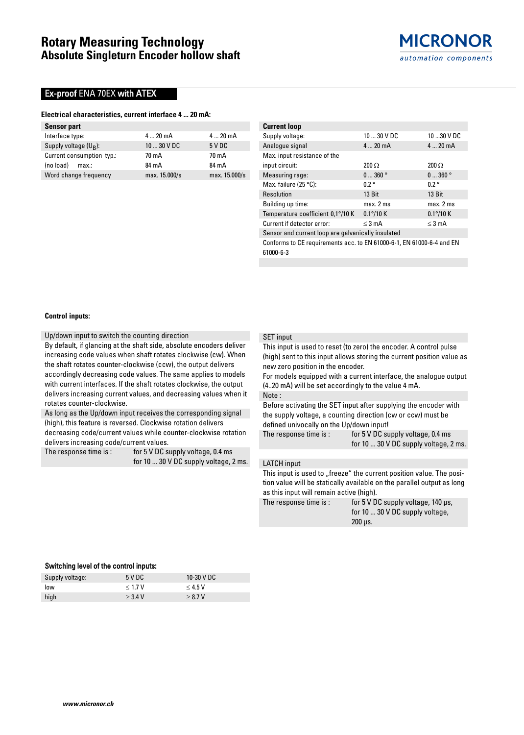# **Ex-proof ENA 70EX with ATEX**

### **Electrical characteristics, current interface 4 ... 20 mA:**

| <b>Sensor part</b>        |               |               |
|---------------------------|---------------|---------------|
| Interface type:           | $420$ mA      | $420$ mA      |
| Supply voltage $(U_R)$ :  | $1030$ V DC   | 5VDC          |
| Current consumption typ.: | 70 mA         | 70 mA         |
| (no load)<br>max:         | 84 mA         | 84 mA         |
| Word change frequency     | max. 15.000/s | max. 15.000/s |

| <b>Current loop</b>                                |                   |                    |  |  |  |  |  |
|----------------------------------------------------|-------------------|--------------------|--|--|--|--|--|
| Supply voltage:                                    | $1030$ V DC       | $1030$ V DC        |  |  |  |  |  |
| Analogue signal                                    | $420$ mA          | $420$ mA           |  |  |  |  |  |
| Max. input resistance of the                       |                   |                    |  |  |  |  |  |
| input circuit:                                     | $200 \Omega$      | $200 \Omega$       |  |  |  |  |  |
| Measuring rage:                                    | 0360°             | 0360°              |  |  |  |  |  |
| Max. failure $(25 °C)$ :                           | $0.2^{\circ}$     | 0.2°               |  |  |  |  |  |
| Resolution                                         | 13 Bit            | 13 Bit             |  |  |  |  |  |
| Building up time:                                  | max. 2 ms         | max. 2 ms          |  |  |  |  |  |
| Temperature coefficient 0,1°/10 K                  | $0.1\degree/10$ K | $0.1^{\circ}/10$ K |  |  |  |  |  |
| Current if detector error:                         | $\leq$ 3 mA       | $\leq$ 3 mA        |  |  |  |  |  |
| Sensor and current loop are galvanically insulated |                   |                    |  |  |  |  |  |

Conforms to CE requirements acc. to EN 61000-6-1, EN 61000-6-4 and EN 61000-6-3

#### **Control inputs:**

Up/down input to switch the counting direction

By default, if glancing at the shaft side, absolute encoders deliver increasing code values when shaft rotates clockwise (cw). When the shaft rotates counter-clockwise (ccw), the output delivers accordingly decreasing code values. The same applies to models with current interfaces. If the shaft rotates clockwise, the output delivers increasing current values, and decreasing values when it rotates counter-clockwise.

As long as the Up/down input receives the corresponding signal (high), this feature is reversed. Clockwise rotation delivers

decreasing code/current values while counter-clockwise rotation delivers increasing code/current values.

The response time is: for 5 V DC supply voltage, 0.4 ms for 10 ... 30 V DC supply voltage, 2 ms.

#### SET input

This input is used to reset (to zero) the encoder. A control pulse (high) sent to this input allows storing the current position value as new zero position in the encoder.

For models equipped with a current interface, the analogue output (4..20 mA) will be set accordingly to the value 4 mA. Note :

Before activating the SET input after supplying the encoder with the supply voltage, a counting direction (cw or ccw) must be defined univocally on the Up/down input!

The response time is: for 5 V DC supply voltage, 0.4 ms

for 10 ... 30 V DC supply voltage, 2 ms.

### LATCH input

This input is used to "freeze" the current position value. The position value will be statically available on the parallel output as long as this input will remain active (high).

The response time is: for 5 V DC supply voltage, 140 us, for 10 ... 30 V DC supply voltage, 200 µs.

### Switching level of the control inputs:

| Supply voltage: | 5 VDC     | 10-30 V DC |
|-----------------|-----------|------------|
| low             | < 1.7 V   | $<$ 4.5 V  |
| high            | $>$ 3.4 V | > 8.7 V    |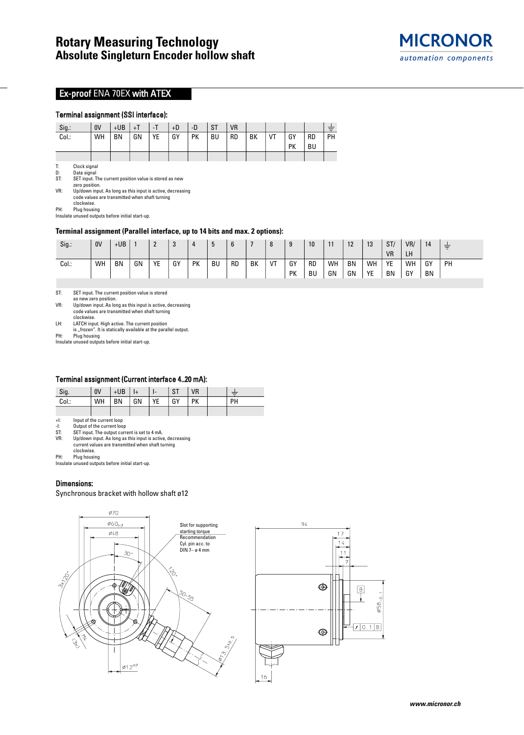

# **Ex-proof ENA 70EX with ATEX**

## Terminal assignment (SSI interface):

| Sig.: | 0V | $+UB$     | $+T$ | - 1 | $+D$ | -D        | <b>ST</b> | <b>VR</b> |    |    |    |           |    |
|-------|----|-----------|------|-----|------|-----------|-----------|-----------|----|----|----|-----------|----|
| Col.: | WH | <b>BN</b> | GN   | YE  | GY   | <b>PK</b> | BU        | <b>RD</b> | BK | VT | GY | <b>RD</b> | PH |
|       |    |           |      |     |      |           |           |           |    |    | PК | BU        |    |
|       |    |           |      |     |      |           |           |           |    |    |    |           |    |

T: Clock signal<br>D: Data signal

D: Data signal<br>ST: SET input. T SET input. The current position value is stored as new zero position.

VR: Up/down input. As long as this input is active, decreasing

code values are transmitted when shaft turning clockwise.

PH: Plug housing Insulate unused outputs before initial start-up.

### **Terminal assignment (Parallel interface, up to 14 bits and max. 2 options):**

| Sig.: | 0V | $+UB$     |    | $\sqrt{2}$<br>- | $\sqrt{2}$ | 4         | ს         | b         |    | 8  | a  | 10  | 11 | 10<br>14  | 13 | ST/       | VR/ | 14 | 青  |
|-------|----|-----------|----|-----------------|------------|-----------|-----------|-----------|----|----|----|-----|----|-----------|----|-----------|-----|----|----|
|       |    |           |    |                 |            |           |           |           |    |    |    |     |    |           |    | <b>VR</b> | LH  |    |    |
| Col.: | WH | <b>BN</b> | GN | YE              | GY         | <b>PK</b> | <b>BU</b> | <b>RD</b> | BK | VT | GY | -RD | WH | <b>BN</b> | WH | YE        | WH  | GY | PH |
|       |    |           |    |                 |            |           |           |           |    |    | PK | BU  | GN | GN        | YE | BN        | GY  | BN |    |

ST: SET input. The current position value is stored

as new zero position.

VR: Up/down input. As long as this input is active, decreasing code values are transmitted when shaft turning

clockwise. LH: LATCH input. High active. The current position

is "frozen". It is statically available at the parallel output.

PH: Plug housing Insulate unused outputs before initial start-up.

#### Terminal assignment (Current interface 4..20 mA):

| Sig.  | 0V        | $+UB$ | l I+ | ι- | <b>ST</b> | VR        |    |
|-------|-----------|-------|------|----|-----------|-----------|----|
| Col.: | <b>WH</b> | I BN  | l GN | YE | l GY      | <b>PK</b> | PH |
|       |           |       |      |    |           |           |    |

+I: Input of the current loop

-I: Output of the current loop<br>ST: SET input. The output curr

ST: SET input. The output current is set to 4 mA.<br>VR: Up/down input. As long as this input is active Up/down input. As long as this input is active, decreasing

current values are transmitted when shaft turning

clockwise.

PH: Plug housing Insulate unused outputs before initial start-up.

## Dimensions:

Synchronous bracket with hollow shaft ø12